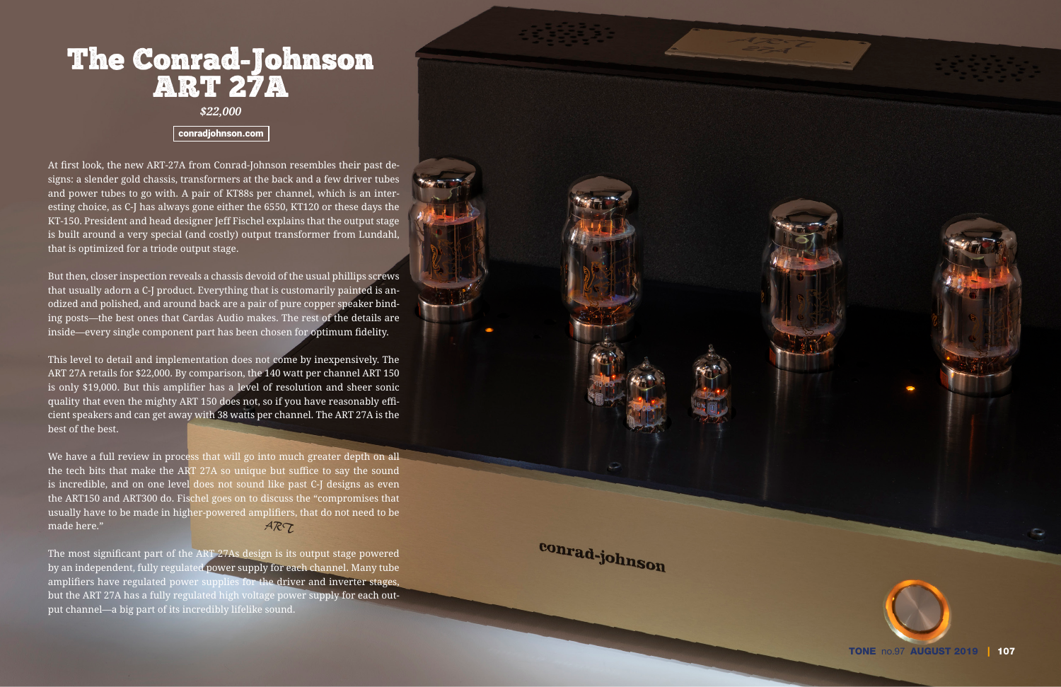# The Conrad-Johnson<br>ART 27A

*\$22,000*

#### [conradjohnson.com](www.conradjohnson.com)

At first look, the new ART-27A from Conrad-Johnson resembles their past de signs: a slender gold chassis, transformers at the back and a few driver tubes and power tubes to go with. A pair of KT88s per channel, which is an inter esting choice, as C-J has always gone either the 6550, KT120 or these days the KT-150. President and head designer Jeff Fischel explains that the output stage is built around a very special (and costly) output transformer from Lundahl, that is optimized for a triode output stage.

But then, closer inspection reveals a chassis devoid of the usual phillips screws that usually adorn a C-J product. Everything that is customarily painted is an odized and polished, and around back are a pair of pure copper speaker bind ing posts—the best ones that Cardas Audio makes. The rest of the details are inside—every single component part has been chosen for optimum fidelity.

This level to detail and implementation does not come by inexpensively. The ART 27A retails for \$22,000. By comparison, the 140 watt per channel ART 150 is only \$19,000. But this amplifier has a level of resolution and sheer sonic quality that even the mighty ART 150 does not, so if you have reasonably effi cient speakers and can get away with 38 watts per channel. The ART 27A is the best of the best.

We have a full review in process that will go into much greater depth on all the tech bits that make the ART 27A so unique but suffice to say the sound is incredible, and on one level does not sound like past C-J designs as even the ART150 and ART300 do. Fischel goes on to discuss the "compromises that usually have to be made in higher-powered amplifiers, that do not need to be  $ART$ made here."

The most significant part of the ART 27As design is its output stage powered by an independent, fully regulated power supply for each channel. Many tube amplifiers have regulated power supplies for the driver and inverter stages, but the ART 27A has a fully regulated high voltage power supply for each output channel—a big part of its incredibly lifelike sound.